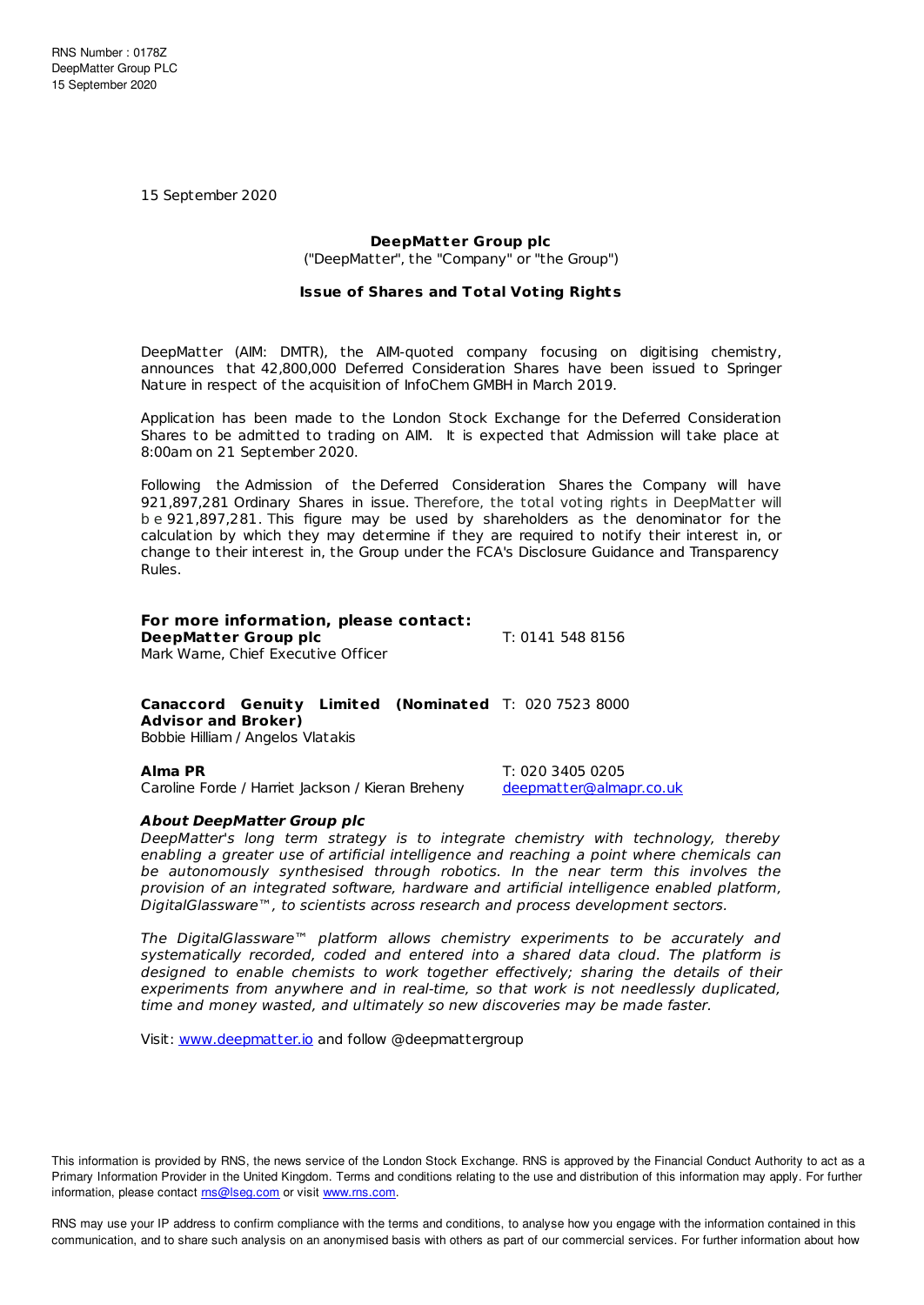15 September 2020

## **DeepMatter Group plc**

("DeepMatter", the "Company" or "the Group")

### **Issue of Shares and Total Vot ing Rights**

DeepMatter (AIM: DMTR), the AIM-quoted company focusing on digitising chemistry, announces that 42,800,000 Deferred Consideration Shares have been issued to Springer Nature in respect of the acquisition of InfoChem GMBH in March 2019.

Application has been made to the London Stock Exchange for the Deferred Consideration Shares to be admitted to trading on AIM. It is expected that Admission will take place at 8:00am on 21 September 2020.

Following the Admission of the Deferred Consideration Shares the Company will have 921,897,281 Ordinary Shares in issue. Therefore, the total voting rights in DeepMatter will b e 921,897,281. This figure may be used by shareholders as the denominator for the calculation by which they may determine if they are required to notify their interest in, or change to their interest in, the Group under the FCA's Disclosure Guidance and Transparency Rules.

# **For more information, please contact:**

**DeepMatter Group plc** T: 0141 548 8156 Mark Warne, Chief Executive Officer

# **Canaccord Genuity Limited (Nominated** T: 020 7523 8000 **Advisor and Broker)**

Bobbie Hilliam / Angelos Vlatakis

Caroline Forde / Harriet Jackson / Kieran Breheny [deepmatter@almapr.co.uk](mailto:deepmatter@almapr.co.uk)

**Alma PR** T: 020 3405 0205

### **About DeepMatter Group plc**

DeepMatter's long term strategy is to integrate chemistry with technology, thereby enabling a greater use of artificial intelligence and reaching a point where chemicals can be autonomously synthesised through robotics. In the near term this involves the provision of an integrated software, hardware and artificial intelligence enabled platform, DigitalGlassware™, to scientists across research and process development sectors.

The DigitalGlassware™ platform allows chemistry experiments to be accurately and systematically recorded, coded and entered into a shared data cloud. The platform is designed to enable chemists to work together effectively; sharing the details of their experiments from anywhere and in real-time, so that work is not needlessly duplicated, time and money wasted, and ultimately so new discoveries may be made faster.

Visit: [www.deepmatter.io](https://www.deepmatter.io/) and follow @deepmattergroup

This information is provided by RNS, the news service of the London Stock Exchange. RNS is approved by the Financial Conduct Authority to act as a Primary Information Provider in the United Kingdom. Terms and conditions relating to the use and distribution of this information may apply. For further information, please contact [rns@lseg.com](mailto:rns@lseg.com) or visit [www.rns.com](http://www.rns.com/).

RNS may use your IP address to confirm compliance with the terms and conditions, to analyse how you engage with the information contained in this communication, and to share such analysis on an anonymised basis with others as part of our commercial services. For further information about how